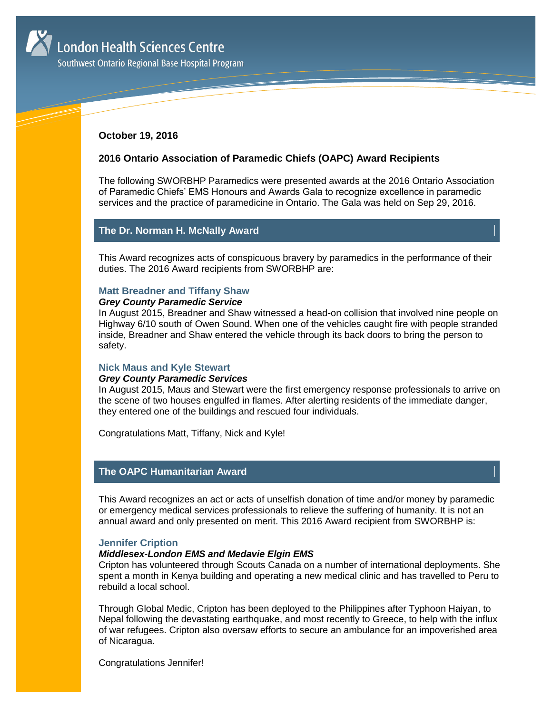

Southwest Ontario Regional Base Hospital Program

# **October 19, 2016**

# **2016 Ontario Association of Paramedic Chiefs (OAPC) Award Recipients**

The following SWORBHP Paramedics were presented awards at the 2016 Ontario Association of Paramedic Chiefs' EMS Honours and Awards Gala to recognize excellence in paramedic services and the practice of paramedicine in Ontario. The Gala was held on Sep 29, 2016.

# **The Dr. Norman H. McNally Award**

This Award recognizes acts of conspicuous bravery by paramedics in the performance of their duties. The 2016 Award recipients from SWORBHP are:

### **Matt Breadner and Tiffany Shaw**

## *Grey County Paramedic Service*

In August 2015, Breadner and Shaw witnessed a head-on collision that involved nine people on Highway 6/10 south of Owen Sound. When one of the vehicles caught fire with people stranded inside, Breadner and Shaw entered the vehicle through its back doors to bring the person to safety.

## **Nick Maus and Kyle Stewart**

### *Grey County Paramedic Services*

In August 2015, Maus and Stewart were the first emergency response professionals to arrive on the scene of two houses engulfed in flames. After alerting residents of the immediate danger, they entered one of the buildings and rescued four individuals.

Congratulations Matt, Tiffany, Nick and Kyle!

# **The OAPC Humanitarian Award**

This Award recognizes an act or acts of unselfish donation of time and/or money by paramedic or emergency medical services professionals to relieve the suffering of humanity. It is not an annual award and only presented on merit. This 2016 Award recipient from SWORBHP is:

## **Jennifer Cription**

# *Middlesex-London EMS and Medavie Elgin EMS*

Cripton has volunteered through Scouts Canada on a number of international deployments. She spent a month in Kenya building and operating a new medical clinic and has travelled to Peru to rebuild a local school.

Through Global Medic, Cripton has been deployed to the Philippines after Typhoon Haiyan, to Nepal following the devastating earthquake, and most recently to Greece, to help with the influx of war refugees. Cripton also oversaw efforts to secure an ambulance for an impoverished area of Nicaragua.

Congratulations Jennifer!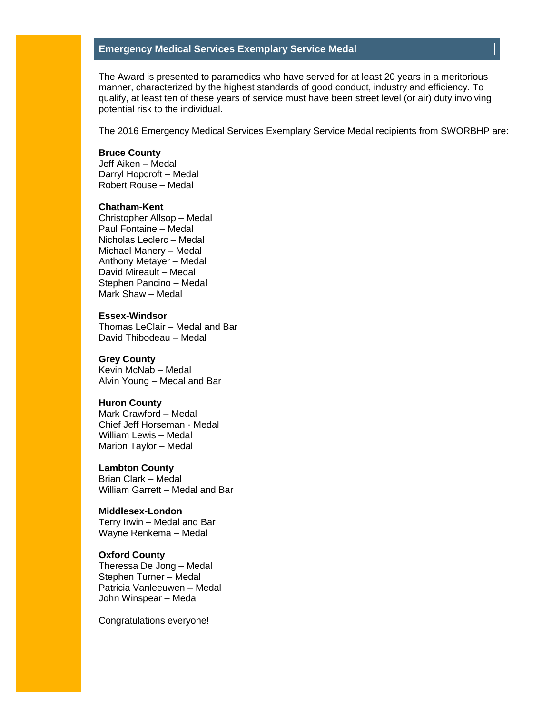# **Emergency Medical Services Exemplary Service Medal**

The Award is presented to paramedics who have served for at least 20 years in a meritorious manner, characterized by the highest standards of good conduct, industry and efficiency. To qualify, at least ten of these years of service must have been street level (or air) duty involving potential risk to the individual.

The 2016 Emergency Medical Services Exemplary Service Medal recipients from SWORBHP are:

## **Bruce County**

Jeff Aiken – Medal Darryl Hopcroft – Medal Robert Rouse – Medal

### **Chatham-Kent**

Christopher Allsop – Medal Paul Fontaine – Medal Nicholas Leclerc – Medal Michael Manery – Medal Anthony Metayer – Medal David Mireault – Medal Stephen Pancino – Medal Mark Shaw – Medal

#### **Essex-Windsor**

Thomas LeClair – Medal and Bar David Thibodeau – Medal

#### **Grey County**

Kevin McNab – Medal Alvin Young – Medal and Bar

# **Huron County**

Mark Crawford – Medal Chief Jeff Horseman - Medal William Lewis – Medal Marion Taylor – Medal

#### **Lambton County**

Brian Clark – Medal William Garrett – Medal and Bar

#### **Middlesex-London**

Terry Irwin – Medal and Bar Wayne Renkema – Medal

### **Oxford County**

Theressa De Jong – Medal Stephen Turner – Medal Patricia Vanleeuwen – Medal John Winspear – Medal

Congratulations everyone!